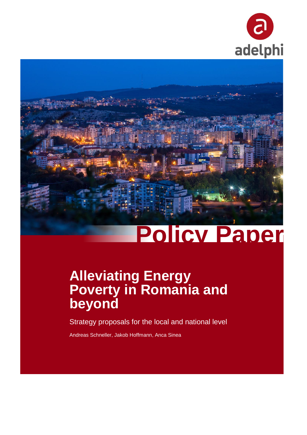



# **Policy Paper**

## **Alleviating Energy Poverty in Romania and beyond**

Strategy proposals for the local and national level

Andreas Schneller, Jakob Hoffmann, Anca Sinea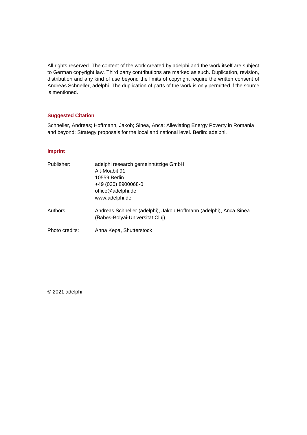All rights reserved. The content of the work created by adelphi and the work itself are subject to German copyright law. Third party contributions are marked as such. Duplication, revision, distribution and any kind of use beyond the limits of copyright require the written consent of Andreas Schneller, adelphi. The duplication of parts of the work is only permitted if the source is mentioned.

#### **Suggested Citation**

Schneller, Andreas; Hoffmann, Jakob; Sinea, Anca: Alleviating Energy Poverty in Romania and beyond: Strategy proposals for the local and national level. Berlin: adelphi.

#### **Imprint**

| Publisher:     | adelphi research gemeinnützige GmbH                                                                  |  |
|----------------|------------------------------------------------------------------------------------------------------|--|
|                | Alt-Moabit 91                                                                                        |  |
|                | 10559 Berlin                                                                                         |  |
|                | +49 (030) 8900068-0                                                                                  |  |
|                | office@adelphi.de                                                                                    |  |
|                | www.adelphi.de                                                                                       |  |
| Authors:       | Andreas Schneller (adelphi), Jakob Hoffmann (adelphi), Anca Sinea<br>(Babes-Bolyai-Universität Cluj) |  |
| Photo credits: | Anna Kepa, Shutterstock                                                                              |  |

© 2021 adelphi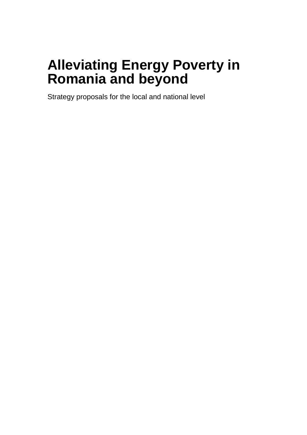## **Alleviating Energy Poverty in Romania and beyond**

Strategy proposals for the local and national level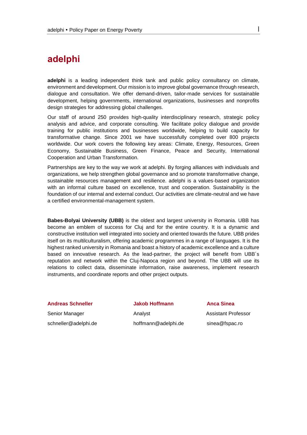## **adelphi**

**adelphi** is a leading independent think tank and public policy consultancy on climate, environment and development. Our mission is to improve global governance through research, dialogue and consultation. We offer demand-driven, tailor-made services for sustainable development, helping governments, international organizations, businesses and nonprofits design strategies for addressing global challenges.

Our staff of around 250 provides high-quality interdisciplinary research, strategic policy analysis and advice, and corporate consulting. We facilitate policy dialogue and provide training for public institutions and businesses worldwide, helping to build capacity for transformative change. Since 2001 we have successfully completed over 800 projects worldwide. Our work covers the following key areas: Climate, Energy, Resources, Green Economy, Sustainable Business, Green Finance, Peace and Security, International Cooperation and Urban Transformation.

Partnerships are key to the way we work at adelphi. By forging alliances with individuals and organizations, we help strengthen global governance and so promote transformative change, sustainable resources management and resilience. adelphi is a values-based organization with an informal culture based on excellence, trust and cooperation. Sustainability is the foundation of our internal and external conduct. Our activities are climate-neutral and we have a certified environmental-management system.

**Babes-Bolyai University (UBB)** is the oldest and largest university in Romania. UBB has become an emblem of success for Cluj and for the entire country. It is a dynamic and constructive institution well integrated into society and oriented towards the future. UBB prides itself on its multilculturalism, offering academic programmes in a range of languages. It is the highest ranked university in Romania and boast a history of academic excellence and a culture based on innovative research. As the lead-partner, the project will benefit from UBB´s reputation and network within the Cluj-Napoca region and beyond. The UBB will use its relations to collect data, disseminate information, raise awareness, implement research instruments, and coordinate reports and other project outputs.

**Andreas Schneller Jakob Hoffmann Anca Sinea**

[schneller@adelphi.de](mailto:xxx@adelphi.de) hoffmann@adelphi.de sinea@fspac.ro

Senior Manager **Analyst** Analyst **Analyst** Assistant Professor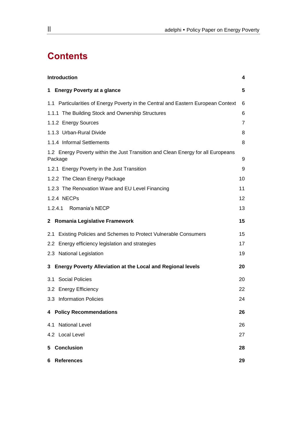## **Contents**

| <b>Introduction</b><br>4                                                                    |                |  |  |
|---------------------------------------------------------------------------------------------|----------------|--|--|
| 1 Energy Poverty at a glance                                                                | 5              |  |  |
| 1.1 Particularities of Energy Poverty in the Central and Eastern European Context           | 6              |  |  |
| 1.1.1 The Building Stock and Ownership Structures                                           | 6              |  |  |
| 1.1.2 Energy Sources                                                                        | $\overline{7}$ |  |  |
| 1.1.3 Urban-Rural Divide                                                                    | 8              |  |  |
| 1.1.4 Informal Settlements                                                                  | 8              |  |  |
| 1.2 Energy Poverty within the Just Transition and Clean Energy for all Europeans<br>Package | 9              |  |  |
| 1.2.1 Energy Poverty in the Just Transition                                                 | 9              |  |  |
| 1.2.2 The Clean Energy Package                                                              | 10             |  |  |
| 1.2.3 The Renovation Wave and EU Level Financing                                            | 11             |  |  |
| 1.2.4 NECPs                                                                                 | 12             |  |  |
| 1.2.4.1 Romania's NECP                                                                      | 13             |  |  |
| 2 Romania Legislative Framework                                                             | 15             |  |  |
| 2.1 Existing Policies and Schemes to Protect Vulnerable Consumers                           | 15             |  |  |
| 2.2 Energy efficiency legislation and strategies                                            | 17             |  |  |
| 2.3 National Legislation                                                                    | 19             |  |  |
| 3 Energy Poverty Alleviation at the Local and Regional levels                               | 20             |  |  |
| 3.1 Social Policies                                                                         | 20             |  |  |
| 3.2 Energy Efficiency                                                                       | 22             |  |  |
| 3.3 Information Policies                                                                    | 24             |  |  |
| 4 Policy Recommendations                                                                    | 26             |  |  |
| <b>National Level</b><br>4.1                                                                | 26             |  |  |
| 4.2 Local Level                                                                             | 27             |  |  |
| 5 Conclusion<br>28                                                                          |                |  |  |
| 6 References                                                                                | 29             |  |  |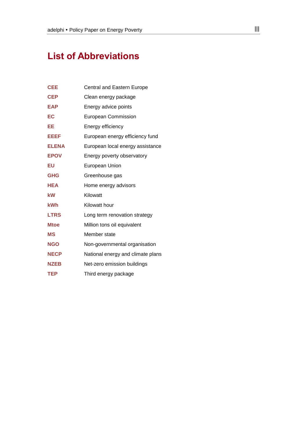## **List of Abbreviations**

| <b>CEE</b>   | Central and Eastern Europe        |
|--------------|-----------------------------------|
| <b>CEP</b>   | Clean energy package              |
| <b>EAP</b>   | Energy advice points              |
| EC           | <b>European Commission</b>        |
| ЕE           | Energy efficiency                 |
| EEEF         | European energy efficiency fund   |
| <b>ELENA</b> | European local energy assistance  |
| <b>EPOV</b>  | Energy poverty observatory        |
| EU           | European Union                    |
| <b>GHG</b>   | Greenhouse gas                    |
| <b>HEA</b>   | Home energy advisors              |
| kW           | Kilowatt                          |
| <b>kWh</b>   | Kilowatt hour                     |
| <b>LTRS</b>  | Long term renovation strategy     |
| <b>Mtoe</b>  | Million tons oil equivalent       |
| <b>MS</b>    | Member state                      |
| <b>NGO</b>   | Non-governmental organisation     |
| <b>NECP</b>  | National energy and climate plans |
| <b>NZEB</b>  | Net-zero emission buildings       |
| <b>TEP</b>   | Third energy package              |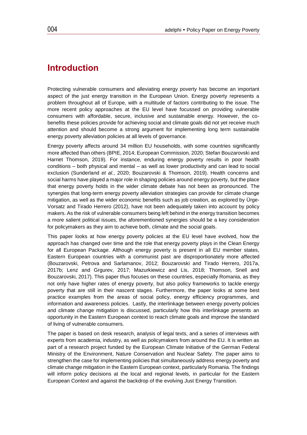## <span id="page-7-0"></span>**Introduction**

Protecting vulnerable consumers and alleviating energy poverty has become an important aspect of the just energy transition in the European Union. Energy poverty represents a problem throughout all of Europe, with a multitude of factors contributing to the issue. The more recent policy approaches at the EU level have focussed on providing vulnerable consumers with affordable, secure, inclusive and sustainable energy. However, the cobenefits these policies provide for achieving social and climate goals did not yet receive much attention and should become a strong argument for implementing long term sustainable energy poverty alleviation policies at all levels of governance.

Energy poverty affects around 34 million EU households, with some countries significantly more affected than others (BPIE, 2014; European Commission*,* 2020; Stefan Bouzarovski and Harriet Thomson, 2019). For instance, enduring energy poverty results in poor health conditions – both physical and mental – as well as lower productivity and can lead to social exclusion (Sunderland *et al.*, 2020; Bouzarovski & Thomson, 2019). Health concerns and social harms have played a major role in shaping policies around energy poverty, but the place that energy poverty holds in the wider climate debate has not been as pronounced. The synergies that long-term energy poverty alleviation strategies can provide for climate change mitigation, as well as the wider economic benefits such as job creation, as explored by Ürge-Vorsatz and Tirado Herrero (2012), have not been adequately taken into account by policy makers. As the risk of vulnerable consumers being left behind in the energy transition becomes a more salient political issues, the aforementioned synergies should be a key consideration for policymakers as they aim to achieve both, climate and the social goals.

This paper looks at how energy poverty policies at the EU level have evolved, how the approach has changed over time and the role that energy poverty plays in the Clean Energy for all European Package. Although energy poverty is present in all EU member states, Eastern European countries with a communist past are disproportionately more affected (Bouzarovski, Petrova and Sarlamanov, 2012; Bouzarovski and Tirado Herrero, 2017a, 2017b; Lenz and Grgurev, 2017; Mazurkiewicz and Lis, 2018; Thomson, Snell and Bouzarovski, 2017). This paper thus focuses on these countries, especially Romania, as they not only have higher rates of energy poverty, but also policy frameworks to tackle energy poverty that are still in their nascent stages. Furthermore, the paper looks at some best practice examples from the areas of social policy, energy efficiency programmes, and information and awareness policies. Lastly, the interlinkage between energy poverty policies and climate change mitigation is discussed, particularly how this interlinkage presents an opportunity in the Eastern European context to reach climate goals and improve the standard of living of vulnerable consumers.

The paper is based on desk research, analysis of legal texts, and a series of interviews with experts from academia, industry, as well as policymakers from around the EU. It is written as part of a research project funded by the European Climate Initiative of the German Federal Ministry of the Environment, Nature Conservation and Nuclear Safety. The paper aims to strengthen the case for implementing policies that simultaneously address energy poverty and climate change mitigation in the Eastern European context, particularly Romania. The findings will inform policy decisions at the local and regional levels, in particular for the Eastern European Context and against the backdrop of the evolving Just Energy Transition.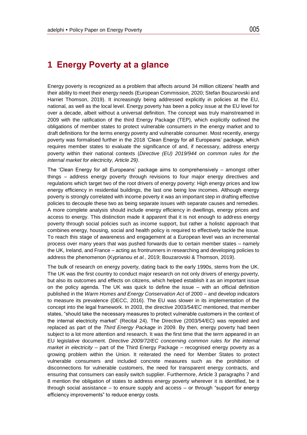## <span id="page-8-0"></span>**1 Energy Poverty at a glance**

Energy poverty is recognized as a problem that affects around 34 million citizens' health and their ability to meet their energy needs (European Commission*,* 2020; Stefan Bouzarovski and Harriet Thomson, 2019). It increasingly being addressed explicitly in policies at the EU, national, as well as the local level. Energy poverty has been a policy issue at the EU level for over a decade, albeit without a universal definition. The concept was truly mainstreamed in 2009 with the ratification of the third Energy Package (TEP), which explicitly outlined the obligations of member states to protect vulnerable consumers in the energy market and to draft definitions for the terms energy poverty and vulnerable consumer. Most recently, energy poverty was formalised further in the 2018 'Clean Energy for all Europeans' package, which requires member states to evaluate the significance of and, if necessary, address energy poverty within their national contexts (*Directive (EU) 2019/944 on common rules for the internal market for electricity, Article 29)*.

The 'Clean Energy for all Europeans' package aims to comprehensively – amongst other things – address energy poverty through revisions to four major energy directives and regulations which target two of the root drivers of energy poverty: High energy prices and low energy efficiency in residential buildings, the last one being low incomes. Although energy poverty is strongly correlated with income poverty it was an important step in drafting effective policies to decouple these two as being separate issues with separate causes and remedies. A more complete analysis should include energy efficiency in dwellings, energy prices and access to energy. This distinction made it apparent that it is not enough to address energy poverty through social policies such as income support, but rather a holistic approach that combines energy, housing, social and health policy is required to effectively tackle the issue. To reach this stage of awareness and engagement at a European level was an incremental process over many years that was pushed forwards due to certain member states – namely the UK, Ireland, and France – acting as frontrunners in researching and developing policies to address the phenomenon (Kyprianou *et al.*, 2019; Bouzarovski & Thomson, 2019).

The bulk of research on energy poverty, dating back to the early 1990s, stems from the UK. The UK was the first country to conduct major research on not only drivers of energy poverty, but also its outcomes and effects on citizens, which helped establish it as an important issue on the policy agenda. The UK was quick to define the issue – with an official definition published in the *Warm Homes and Energy Conservation Act* of 2000 – and develop indicators to measure its prevalence (DECC, 2016). The EU was slower in its implementation of the concept into the legal framework. In 2003, the directive 2003*/54/EC* mentioned, that member states, "should take the necessary measures to protect vulnerable customers in the context of the internal electricity market" (Recital 24). The Directive (2003/54/EC) was repealed and replaced as part of the *Third Energy Package* in 2009. By then, energy poverty had been subject to a lot more attention and research. It was the first time that the term appeared in an EU legislative document. *Directive 2009/72/EC concerning common rules for the internal market in electricity* – part of the Third Energy Package – recognised energy poverty as a growing problem within the Union. It reiterated the need for Member States to protect vulnerable consumers and included concrete measures such as the prohibition of disconnections for vulnerable customers, the need for transparent energy contracts, and ensuring that consumers can easily switch supplier. Furthermore, Article 3 paragraphs 7 and 8 mention the obligation of states to address energy poverty wherever it is identified, be it through social assistance – to ensure supply and access – or through "support for energy efficiency improvements" to reduce energy costs.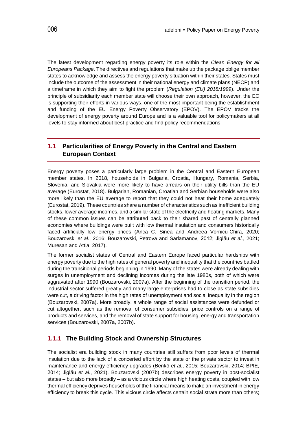The latest development regarding energy poverty its role within the *Clean Energy for all Europeans Package*. The directives and regulations that make up the package oblige member states to acknowledge and assess the energy poverty situation within their states. States must include the outcome of the assessment in their national energy and climate plans (NECP) and a timeframe in which they aim to fight the problem (*Regulation (EU) 2018/1999*). Under the principle of subsidiarity each member state will choose their own approach, however, the EC is supporting their efforts in various ways, one of the most important being the establishment and funding of the EU Energy Poverty Observatory (EPOV). The EPOV tracks the development of energy poverty around Europe and is a valuable tool for policymakers at all levels to stay informed about best practice and find policy recommendations.

#### <span id="page-9-0"></span>**1.1 Particularities of Energy Poverty in the Central and Eastern European Context**

Energy poverty poses a particularly large problem in the Central and Eastern European member states. In 2018, households in Bulgaria, Croatia, Hungary, Romania, Serbia, Slovenia, and Slovakia were more likely to have arrears on their utility bills than the EU average (Eurostat, 2018). Bulgarian, Romanian, Croatian and Serbian households were also more likely than the EU average to report that they could not heat their home adequately (Eurostat, 2019). These countries share a number of characteristics such as inefficient building stocks, lower average incomes, and a similar state of the electricity and heating markets. Many of these common issues can be attributed back to their shared past of centrally planned economies where buildings were built with low thermal insulation and consumers historically faced artificially low energy prices (Anca C. Sinea and Andreea Vornicu-Chira, 2020; Bouzarovski *et al.*, 2016; Bouzarovski, Petrova and Sarlamanov, 2012; Jiglău *et al.*, 2021; Muresan and Attia, 2017).

The former socialist states of Central and Eastern Europe faced particular hardships with energy poverty due to the high rates of general poverty and inequality that the countries battled during the transitional periods beginning in 1990. Many of the states were already dealing with surges in unemployment and declining incomes during the late 1980s, both of which were aggravated after 1990 (Bouzarovski, 2007a). After the beginning of the transition period, the industrial sector suffered greatly and many large enterprises had to close as state subsidies were cut, a driving factor in the high rates of unemployment and social inequality in the region (Bouzarovski, 2007a). More broadly, a whole range of social assistances were defunded or cut altogether, such as the removal of consumer subsidies, price controls on a range of products and services, and the removal of state support for housing, energy and transportation services (Bouzarovski, 2007a, 2007b).

#### <span id="page-9-1"></span>**1.1.1 The Building Stock and Ownership Structures**

The socialist era building stock in many countries still suffers from poor levels of thermal insulation due to the lack of a concerted effort by the state or the private sector to invest in maintenance and energy efficiency upgrades (Benkő *et al.*, 2015; Bouzarovski, 2014; BPIE, 2014; Jiglău *et al.*, 2021). Bouzarovski (2007b) describes energy poverty in post-socialist states – but also more broadly – as a vicious circle where high heating costs, coupled with low thermal efficiency deprives households of the financial means to make an investment in energy efficiency to break this cycle. This vicious circle affects certain social strata more than others;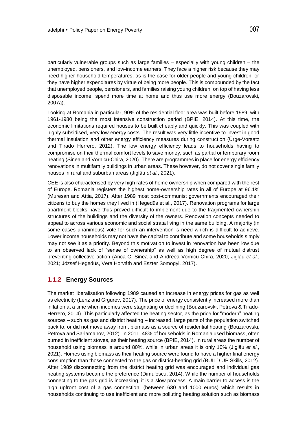particularly vulnerable groups such as large families – especially with young children – the unemployed, pensioners, and low-income earners. They face a higher risk because they may need higher household temperatures, as is the case for older people and young children, or they have higher expenditures by virtue of being more people. This is compounded by the fact that unemployed people, pensioners, and families raising young children, on top of having less disposable income, spend more time at home and thus use more energy (Bouzarovski, 2007a).

Looking at Romania in particular, 90% of the residential floor area was built before 1989, with 1961-1980 being the most intensive construction period (BPIE, 2014). At this time, the economic limitations required houses to be built cheaply and quickly. This was coupled with highly subsidised, very low energy costs. The result was very little incentive to invest in good thermal insulation and other energy efficiency measures during construction (Ürge-Vorsatz and Tirado Herrero, 2012). The low energy efficiency leads to households having to compromise on their thermal comfort levels to save money, such as partial or temporary room heating (Sinea and Vornicu-Chira, 2020). There are programmes in place for energy efficiency renovations in multifamily buildings in urban areas. These however, do not cover single family houses in rural and suburban areas (Jiglău *et al.*, 2021).

CEE is also characterised by very high rates of home ownership when compared with the rest of Europe. Romania registers the highest home-ownership rates in all of Europe at 96.1% (Muresan and Attia, 2017). After 1989 most post-communist governments encouraged their citizens to buy the homes they lived in (Hegedüs et al., 2017). Renovation programs for large apartment blocks have thus proved difficult to implement due to the fragmented ownership structures of the buildings and the diversity of the owners. Renovation concepts needed to appeal to across various economic and social strata living in the same building. A majority (in some cases unanimous) vote for such an intervention is need which is difficult to achieve. Lower income households may not have the capital to contribute and some households simply may not see it as a priority. Beyond this motivation to invest in renovation has been low due to an observed lack of "sense of ownership" as well as high degree of mutual distrust preventing collective action (Anca C. Sinea and Andreea Vornicu-Chira, 2020; Jiglău *et al.*, 2021; József Hegedüs, Vera Horváth and Eszter Somogyi, 2017).

#### <span id="page-10-0"></span>**1.1.2 Energy Sources**

The market liberalisation following 1989 caused an increase in energy prices for gas as well as electricity (Lenz and Grgurev, 2017). The price of energy consistently increased more than inflation at a time when incomes were stagnating or declining (Bouzarovski, Petrova & Tirado-Herrero, 2014). This particularly affected the heating sector, as the price for "modern" heating sources – such as gas and district heating – increased, large parts of the population switched back to, or did not move away from, biomass as a source of residential heating (Bouzarovski, Petrova and Sarlamanov, 2012). In 2011, 48% of households in Romania used biomass, often burned in inefficient stoves, as their heating source (BPIE, 2014). In rural areas the number of household using biomass is around 80%, while in urban areas it is only 10% (Jiglău *et al.*, 2021). Homes using biomass as their heating source were found to have a higher final energy consumption than those connected to the gas or district-heating grid (BUILD UP Skills, 2012). After 1989 disconnecting from the district heating grid was encouraged and individual gas heating systems became the preference (Dimulescu, 2014). While the number of households connecting to the gas grid is increasing, it is a slow process. A main barrier to access is the high upfront cost of a gas connection, (between 630 and 1000 euros) which results in households continuing to use inefficient and more polluting heating solution such as biomass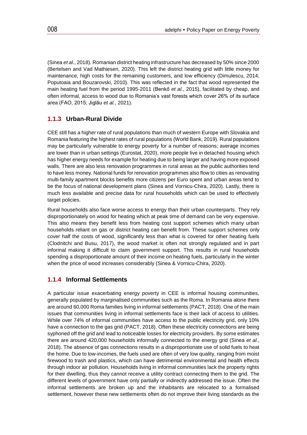(Sinea *et al.*, 2018). Romanian district heating infrastructure has decreased by 50% since 2000 (Bertelsen and Vad Mathiesen, 2020). This left the district heating grid with little money for maintenance, high costs for the remaining customers, and low efficiency (Dimulescu, 2014; Poputoaia and Bouzarovski, 2010). This was reflected in the fact that wood represented the main heating fuel from the period 1995-2011 (Benkő *et al.*, 2015), facilitated by cheap, and often informal, access to wood due to Romania's vast forests which cover 26% of its surface area (FAO, 2015; Jiglău *et al.*, 2021).

#### <span id="page-11-0"></span>**1.1.3 Urban-Rural Divide**

CEE still has a higher rate of rural populations than much of western Europe with Slovakia and Romania featuring the highest rates of rural populations (World Bank, 2019). Rural populations may be particularly vulnerable to energy poverty for a number of reasons; average incomes are lower than in urban settings (Eurostat, 2020), more people live in detached housing which has higher energy needs for example for heating due to being larger and having more exposed walls. There are also less renovation programmes in rural areas as the public authorities tend to have less money. National funds for renovation programmes also flow to cities as renovating multi-family apartment blocks benefits more citizens per Euro spent and urban areas tend to be the focus of national development plans (Sinea and Vornicu-Chira, 2020). Lastly, there is much less available and precise data for rural households which can be used to effectively target policies.

Rural households also face worse access to energy than their urban counterparts. They rely disproportionately on wood for heating which at peak time of demand can be very expensive. This also means they benefit less from heating cost support schemes which many urban households reliant on gas or district heating can benefit from. These support schemes only cover half the costs of wood, significantly less than what is covered for other heating fuels (Clodnitchi and Busu, 2017), the wood market is often not strongly regulated and in part informal making it difficult to claim government support. This results in rural households spending a disproportionate amount of their income on heating fuels, particularly in the winter when the price of wood increases considerably (Sinea & Vornicu-Chira, 2020).

#### <span id="page-11-1"></span>**1.1.4 Informal Settlements**

A particular issue exacerbating energy poverty in CEE is informal housing communities, generally populated by marginalised communities such as the Roma. In Romania alone there are around 60,000 Roma families living in informal settlements (PACT, 2018). One of the main issues that communities living in informal settlements face is their lack of access to utilities. While over 74% of informal communities have access to the public electricity grid, only 10% have a connection to the gas grid (PACT, 2018). Often these electricity connections are being syphoned off the grid and lead to noticeable losses for electricity providers. By some estimates there are around 420,000 households informally connected to the energy grid (Sinea *et al.*, 2018). The absence of gas connections results in a disproportionate use of solid fuels to heat the home. Due to low-incomes, the fuels used are often of very low quality, ranging from moist firewood to trash and plastics, which can have detrimental environmental and health effects through indoor air pollution. Households living in informal communities lack the property rights for their dwelling, thus they cannot receive a utility contract connecting them to the grid. The different levels of government have only partially or indirectly addressed the issue. Often the informal settlements are broken up and the inhabitants are relocated to a formalised settlement, however these new settlements often do not improve their living standards as the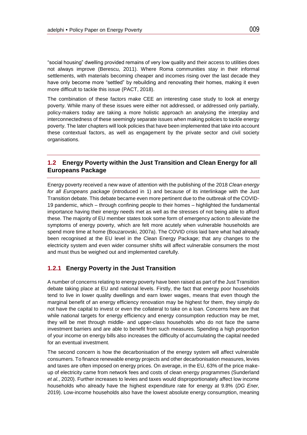"social housing" dwelling provided remains of very low quality and their access to utilities does not always improve (Berescu, 2011). Where Roma communities stay in their informal settlements, with materials becoming cheaper and incomes rising over the last decade they have only become more "settled" by rebuilding and renovating their homes, making it even more difficult to tackle this issue (PACT, 2018).

The combination of these factors make CEE an interesting case study to look at energy poverty. While many of these issues were either not addressed, or addressed only partially, policy-makers today are taking a more holistic approach an analysing the interplay and interconnectedness of these seemingly separate issues when making policies to tackle energy poverty. The later chapters will look policies that have been implemented that take into account these contextual factors, as well as engagement by the private sector and civil society organisations.

#### <span id="page-12-0"></span>**1.2 Energy Poverty within the Just Transition and Clean Energy for all Europeans Package**

Energy poverty received a new wave of attention with the publishing of the 2018 *Clean energy for all Europeans package* (introduced in 1) and because of its interlinkage with the Just Transition debate. This debate became even more pertinent due to the outbreak of the COVID-19 pandemic, which – through confining people to their homes – highlighted the fundamental importance having their energy needs met as well as the stresses of not being able to afford these. The majority of EU member states took some form of emergency action to alleviate the symptoms of energy poverty, which are felt more acutely when vulnerable households are spend more time at home (Bouzarovski, 2007a). The COVID crisis laid bare what had already been recognised at the EU level in the Clean Energy Package; that any changes to the electricity system and even wider consumer shifts will affect vulnerable consumers the most and must thus be weighed out and implemented carefully.

#### <span id="page-12-1"></span>**1.2.1 Energy Poverty in the Just Transition**

A number of concerns relating to energy poverty have been raised as part of the Just Transition debate taking place at EU and national levels. Firstly, the fact that energy poor households tend to live in lower quality dwellings and earn lower wages, means that even though the marginal benefit of an energy efficiency renovation may be highest for them, they simply do not have the capital to invest or even the collateral to take on a loan. Concerns here are that while national targets for energy efficiency and energy consumption reduction may be met, they will be met through middle- and upper-class households who do not face the same investment barriers and are able to benefit from such measures. Spending a high proportion of your income on energy bills also increases the difficulty of accumulating the capital needed for an eventual investment.

The second concern is how the decarbonisation of the energy system will affect vulnerable consumers. To finance renewable energy projects and other decarbonisation measures, levies and taxes are often imposed on energy prices. On average, in the EU, 63% of the price makeup of electricity came from network fees and costs of clean energy programmes (Sunderland *et al.*, 2020). Further increases to levies and taxes would disproportionately affect low income households who already have the highest expenditure rate for energy at 9.8% (*DG Ener,* 2019). Low-income households also have the lowest absolute energy consumption, meaning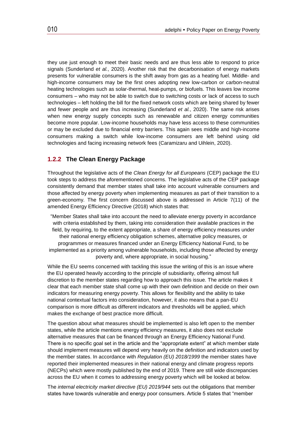they use just enough to meet their basic needs and are thus less able to respond to price signals (Sunderland *et al.*, 2020). Another risk that the decarbonisation of energy markets presents for vulnerable consumers is the shift away from gas as a heating fuel. Middle- and high-income consumers may be the first ones adopting new low-carbon or carbon-neutral heating technologies such as solar-thermal, heat-pumps, or biofuels. This leaves low income consumers – who may not be able to switch due to switching costs or lack of access to such technologies – left holding the bill for the fixed network costs which are being shared by fewer and fewer people and are thus increasing (Sunderland *et al.*, 2020). The same risk arises when new energy supply concepts such as renewable and citizen energy communities become more popular. Low-income households may have less access to these communities or may be excluded due to financial entry barriers. This again sees middle and high-income consumers making a switch while low-income consumers are left behind using old technologies and facing increasing network fees (Caramizaru and Uihlein, 2020).

#### <span id="page-13-0"></span>**1.2.2 The Clean Energy Package**

Throughout the legislative acts of the *Clean Energy for all Europeans* (CEP) package the EU took steps to address the aforementioned concerns. The legislative acts of the CEP package consistently demand that member states shall take into account vulnerable consumers and those affected by energy poverty when implementing measures as part of their transition to a green-economy. The first concern discussed above is addressed in Article 7(11) of the amended Energy Efficiency Directive (2018) which states that:

"Member States shall take into account the need to alleviate energy poverty in accordance with criteria established by them, taking into consideration their available practices in the field, by requiring, to the extent appropriate, a share of energy efficiency measures under their national energy efficiency obligation schemes, alternative policy measures, or programmes or measures financed under an Energy Efficiency National Fund, to be implemented as a priority among vulnerable households, including those affected by energy poverty and, where appropriate, in social housing."

While the EU seems concerned with tackling this issue the writing of this is an issue where the EU operated heavily according to the principle of subsidiarity, offering almost full discretion to the member states regarding how to approach this issue. The article makes it clear that each member state shall come up with their own definition and decide on their own indicators for measuring energy poverty. This allows for flexibility and the ability to take national contextual factors into consideration, however, it also means that a pan-EU comparison is more difficult as different indicators and thresholds will be applied, which makes the exchange of best practice more difficult.

The question about what measures should be implemented is also left open to the member states, while the article mentions energy efficiency measures, it also does not exclude alternative measures that can be financed through an Energy Efficiency National Fund. There is no specific goal set in the article and the "appropriate extent" at which member state should implement measures will depend very heavily on the definition and indicators used by the member states. In accordance with *Regulation (EU) 2018/1999* the member states have reported their implemented measures in their national energy and climate progress reports (NECPs) which were mostly published by the end of 2019. There are still wide discrepancies across the EU when it comes to addressing energy poverty which will be looked at below.

The *internal electricity market directive (EU) 2019/944* sets out the obligations that member states have towards vulnerable and energy poor consumers. Article 5 states that "member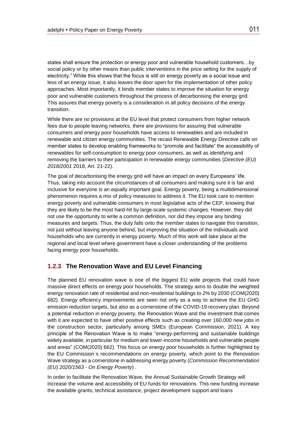states shall ensure the protection or energy poor and vulnerable household customers…by social policy or by other means than public interventions in the price setting for the supply of electricity." While this shows that the focus is still on energy poverty as a social issue and less of an energy issue, it also leaves the door open for the implementation of other policy approaches. Most importantly, it binds member states to improve the situation for energy poor and vulnerable customers throughout the process of decarbonising the energy grid. This assures that energy poverty is a consideration in all policy decisions of the energy transition.

While there are no provisions at the EU level that protect consumers from higher network fees due to people leaving networks, there are provisions for assuring that vulnerable consumers and energy poor households have access to renewables and are included in renewable and citizen energy communities. The recast Renewable Energy Directive calls on member states to develop enabling frameworks to "promote and facilitate" the accessibility of renewables for self-consumption to energy poor consumers, as well as identifying and removing the barriers to their participation in renewable energy communities (*Directive (EU) 2018/2001* 2018, Art. 21-22).

The goal of decarbonising the energy grid will have an impact on every Europeans' life. Thus, taking into account the circumstances of all consumers and making sure it is fair and inclusive for everyone is an equally important goal. Energy poverty, being a multidimensional phenomenon requires a mix of policy measures to address it. The EU took care to mention energy poverty and vulnerable consumers in most legislative acts of the CEP, knowing that they are likely to be the most hard-hit by large-scale systemic changes. However, they did not use the opportunity to write a common definition, nor did they impose any binding measures and targets. Thus, the duty falls onto the member states to navigate this transition, not just without leaving anyone behind, but improving the situation of the individuals and households who are currently in energy poverty. Much of this work will take place at the regional and local level where government have a closer understanding of the problems facing energy poor households.

#### <span id="page-14-0"></span>**1.2.3 The Renovation Wave and EU Level Financing**

The planned EU renovation wave is one of the biggest EU wide projects that could have massive direct effects on energy poor households. The strategy aims to double the weighted energy renovation rate of residential and non-residential buildings to 2% by 2030 (COM(2020) 662). Energy efficiency improvements are seen not only as a way to achieve the EU GHG emission reduction targets, but also as a cornerstone of the COVID-19 recovery plan. Beyond a potential reduction in energy poverty, the Renovation Wave and the investment that comes with it are expected to have other positive effects such as creating over 160,000 new jobs in the construction sector, particularly among SMEs (European Commission, 2021). A key principle of the Renovation Wave is to make "energy-performing and sustainable buildings widely available, in particular for medium and lower-income households and vulnerable people and areas" (COM(2020) 662). This focus on energy poor households is further highlighted by the EU Commission`s recommendations on energy poverty, which point to the Renovation Wave strategy as a cornerstone in addressing energy poverty (*Commission Recommendation (EU) 2020/1563 - On Energy Poverty*) .

In order to facilitate the Renovation Wave, the Annual Sustainable Growth Strategy will increase the volume and accessibility of EU funds for renovations. This new funding increase the available grants, technical assistance, project development support and loans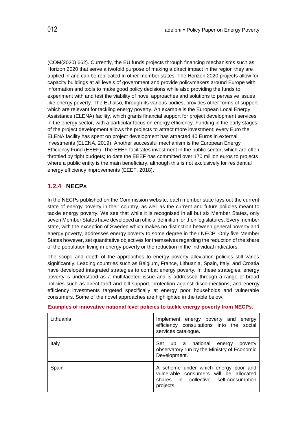(COM(2020) 662). Currently, the EU funds projects through financing mechanisms such as Horizon 2020 that serve a twofold purpose of making a direct impact in the region they are applied in and can be replicated in other member states. The Horizon 2020 projects allow for capacity buildings at all levels of government and provide policymakers around Europe with information and tools to make good policy decisions while also providing the funds to experiment with and test the viability of novel approaches and solutions to pervasive issues like energy poverty. The EU also, through its various bodies, provides other forms of support which are relevant for tackling energy poverty. An example is the European Local Energy Assistance (ELENA) facility, which grants financial support for project development services in the energy sector, with a particular focus on energy efficiency. Funding in the early stages of the project development allows the projects to attract more investment; every Euro the ELENA facility has spent on project development has attracted 40 Euros in external investments (ELENA, 2019). Another successful mechanism is the European Energy Efficiency Fund (EEEF). The EEEF facilitates investment in the public sector, which are often throttled by tight budgets; to date the EEEF has committed over 170 million euros to projects where a public entity is the main beneficiary, although this is not exclusively for residential energy efficiency improvements (EEEF, 2018).

#### <span id="page-15-0"></span>**1.2.4 NECPs**

In the NECPs published on the Commission website, each member state lays out the current state of energy poverty in their country, as well as the current and future policies meant to tackle energy poverty. We see that while it is recognised in all but six Member States, only seven Member States have developed an official definition for their legislatures. Every member state, with the exception of Sweden which makes no distinction between general poverty and energy poverty, addresses energy poverty to some degree in their NECP. Only five Member States however, set quantitative objectives for themselves regarding the reduction of the share of the population living in energy poverty or the reduction in the individual indicators.

The scope and depth of the approaches to energy poverty alleviation policies still varies significantly. Leading countries such as Belgium, France, Lithuania, Spain, Italy, and Croatia have developed integrated strategies to combat energy poverty. In these strategies, energy poverty is understood as a multifaceted issue and is addressed through a range of broad policies such as direct tariff and bill support, protection against disconnections, and energy efficiency investments targeted specifically at energy poor households and vulnerable consumers. Some of the novel approaches are highlighted in the table below.

| Lithuania | Implement energy poverty and energy<br>efficiency consultations into the social<br>services catalogue.                               |
|-----------|--------------------------------------------------------------------------------------------------------------------------------------|
| Italy     | Set<br>up a national energy<br>poverty<br>observatory run by the Ministry of Economic<br>Development.                                |
| Spain     | A scheme under which energy poor and<br>vulnerable consumers will be allocated<br>shares in collective self-consumption<br>projects. |

#### **Examples of innovative national level policies to tackle energy poverty from NECPs.**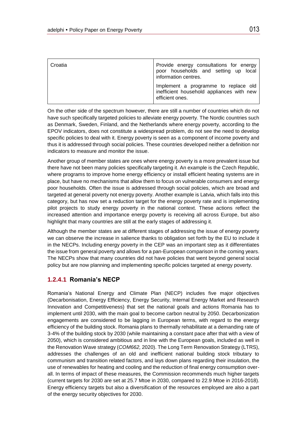| Croatia | Provide energy consultations for energy<br>poor households and setting up local<br>information centres. |
|---------|---------------------------------------------------------------------------------------------------------|
|         | Implement a programme to replace old<br>inefficient household appliances with new<br>efficient ones.    |

On the other side of the spectrum however, there are still a number of countries which do not have such specifically targeted policies to alleviate energy poverty. The Nordic countries such as Denmark, Sweden, Finland, and the Netherlands where energy poverty, according to the EPOV indicators, does not constitute a widespread problem, do not see the need to develop specific policies to deal with it. Energy poverty is seen as a component of income poverty and thus it is addressed through social policies. These countries developed neither a definition nor indicators to measure and monitor the issue.

Another group of member states are ones where energy poverty is a more prevalent issue but there have not been many policies specifically targeting it. An example is the Czech Republic, where programs to improve home energy efficiency or install efficient heating systems are in place, but have no mechanisms that allow them to focus on vulnerable consumers and energy poor households. Often the issue is addressed through social policies, which are broad and targeted at general poverty not energy poverty. Another example is Latvia, which falls into this category, but has now set a reduction target for the energy poverty rate and is implementing pilot projects to study energy poverty in the national context. These actions reflect the increased attention and importance energy poverty is receiving all across Europe, but also highlight that many countries are still at the early stages of addressing it.

Although the member states are at different stages of addressing the issue of energy poverty we can observe the increase in salience thanks to obligation set forth by the EU to include it in the NECPs. Including energy poverty in the CEP was an important step as it differentiates the issue from general poverty and allows for a pan-European comparison in the coming years. The NECPs show that many countries did not have policies that went beyond general social policy but are now planning and implementing specific policies targeted at energy poverty.

#### <span id="page-16-0"></span>**1.2.4.1 Romania's NECP**

Romania's National Energy and Climate Plan (NECP) includes five major objectives (Decarbonisation, Energy Efficiency, Energy Security, Internal Energy Market and Research Innovation and Competitiveness) that set the national goals and actions Romania has to implement until 2030, with the main goal to become carbon neutral by 2050. Decarbonization engagements are considered to be lagging in European terms, with regard to the energy efficiency of the building stock. Romania plans to thermally rehabilitate at a demanding rate of 3-4% of the building stock by 2030 (while maintaining a constant pace after that with a view of 2050), which is considered ambitious and in line with the European goals, included as well in the Renovation Wave strategy (*COM662,* 2020). The Long Term Renovation Strategy (LTRS), addresses the challenges of an old and inefficient national building stock tributary to communism and transition related factors, and lays down plans regarding their insulation, the use of renewables for heating and cooling and the reduction of final energy consumption overall. In terms of impact of these measures, the Commission recommends much higher targets (current targets for 2030 are set at 25.7 Mtoe in 2030, compared to 22.9 Mtoe in 2016-2018). Energy efficiency targets but also a diversification of the resources employed are also a part of the energy security objectives for 2030.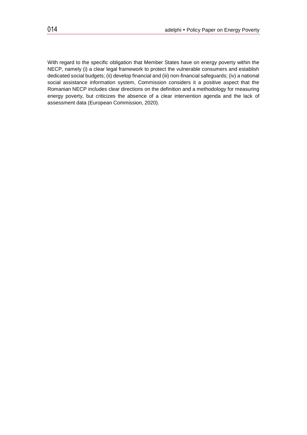With regard to the specific obligation that Member States have on energy poverty within the NECP, namely (i) a clear legal framework to protect the vulnerable consumers and establish dedicated social budgets; (ii) develop financial and (iii) non-financial safeguards; (iv) a national social assistance information system, Commission considers it a positive aspect that the Romanian NECP includes clear directions on the definition and a methodology for measuring energy poverty, but criticizes the absence of a clear intervention agenda and the lack of assessment data (European Commission, 2020).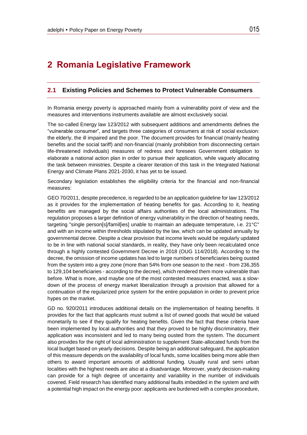## <span id="page-18-0"></span>**2 Romania Legislative Framework**

#### <span id="page-18-1"></span>**2.1 Existing Policies and Schemes to Protect Vulnerable Consumers**

In Romania energy poverty is approached mainly from a vulnerability point of view and the measures and interventions instruments available are almost exclusively social.

The so-called Energy law 123/2012 with subsequent additions and amendments defines the "vulnerable consumer", and targets three categories of consumers at risk of social exclusion: the elderly, the ill impaired and the poor. The document provides for financial (mainly heating benefits and the social tariff) and non-financial (mainly prohibition from disconnecting certain life-threatened individuals) measures of redress and foresees Government obligation to elaborate a national action plan in order to pursue their application, while vaguely allocating the task between ministries. Despite a clearer iteration of this task in the Integrated National Energy and Climate Plans 2021-2030, it has yet to be issued.

Secondary legislation establishes the eligibility criteria for the financial and non-financial measures:

GEO 70/2011, despite precedence, is regarded to be an application guideline for law 123/2012 as it provides for the implementation of heating benefits for gas. According to it, heating benefits are managed by the social affairs authorities of the local administrations. The regulation proposes a larger definition of energy vulnerability in the direction of heating needs, targeting "single person[s]/famil[ies] unable to maintain an adequate temperature, i.e. 21°C" and with an income within thresholds stipulated by the law, which can be updated annually by governmental decree. Despite a clear provision that income levels would be regularly updated to be in line with national social standards, in reality, they have only been recalculated once through a highly contested Government Decree in 2018 (OUG 114/2018). According to the decree, the omission of income updates has led to large numbers of beneficiaries being ousted from the system into a grey zone (more than 54% from one season to the next - from 236,355 to 129,104 beneficiaries - according to the decree), which rendered them more vulnerable than before. What is more, and maybe one of the most contested measures enacted, was a slowdown of the process of energy market liberalization through a provision that allowed for a continuation of the regularized price system for the entire population in order to prevent price hypes on the market.

GD no. 920/2011 introduces additional details on the implementation of heating benefits. It provides for the fact that applicants must submit a list of owned goods that would be valued monetarily to see if they qualify for heating benefits. Given the fact that these criteria have been implemented by local authorities and that they proved to be highly discriminatory, their application was inconsistent and led to many being ousted from the system. The document also provides for the right of local administration to supplement State-allocated funds from the local budget based on yearly decisions. Despite being an additional safeguard, the application of this measure depends on the availability of local funds, some localities being more able then others to award important amounts of additional funding. Usually rural and semi urban localities with the highest needs are also at a disadvantage. Moreover, yearly decision-making can provide for a high degree of uncertainty and variability in the number of individuals covered. Field research has identified many additional faults imbedded in the system and with a potential high impact on the energy poor: applicants are burdened with a complex procedure,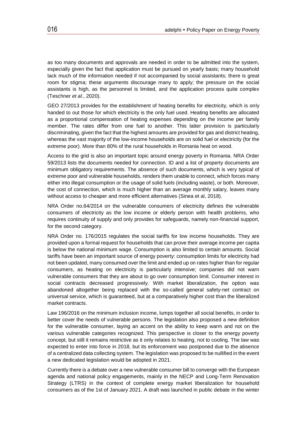as too many documents and approvals are needed in order to be admitted into the system, especially given the fact that application must be pursued on yearly basis; many household lack much of the information needed if not accompanied by social assistants; there is great room for stigma; these arguments discourage many to apply; the pressure on the social assistants is high, as the personnel is limited, and the application process quite complex (Teschner *et al.*, 2020).

GEO 27/2013 provides for the establishment of heating benefits for electricity, which is only handed to out those for which electricity is the only fuel used. Heating benefits are allocated as a proportional compensation of heating expenses depending on the income per family member. The rates differ from one fuel to another. This latter provision is particularly discriminating, given the fact that the highest amounts are provided for gas and district heating, whereas the vast majority of the low-income households are on solid fuel or electricity (for the extreme poor). More than 80% of the rural households in Romania heat on wood.

Access to the grid is also an important topic around energy poverty in Romania. NRA Order 59/2013 lists the documents needed for connection. ID and a list of property documents are minimum obligatory requirements. The absence of such documents, which is very typical of extreme poor and vulnerable households, renders them unable to connect, which forces many either into illegal consumption or the usage of solid fuels (including waste), or both. Moreover, the cost of connection, which is much higher than an average monthly salary, leaves many without access to cheaper and more efficient alternatives (Sinea et al, 2018).

NRA Order no.64/2014 on the vulnerable consumers of electricity defines the vulnerable consumers of electricity as the low income or elderly person with health problems, who requires continuity of supply and only provides for safeguards, namely non-financial support, for the second category.

NRA Order no. 176/2015 regulates the social tariffs for low income households. They are provided upon a formal request for households that can prove their average income per capita is below the national minimum wage. Consumption is also limited to certain amounts. Social tariffs have been an important source of energy poverty: consumption limits for electricity had not been updated, many consumed over the limit and ended up on rates higher than for regular consumers, as heating on electricity is particularly intensive; companies did not warn vulnerable consumers that they are about to go over consumption limit. Consumer interest in social contracts decreased progressively. With market liberalization, the option was abandoned altogether being replaced with the so-called general safety-net contract on universal service, which is guaranteed, but at a comparatively higher cost than the liberalized market contracts.

Law 196/2016 on the minimum inclusion income, lumps together all social benefits, in order to better cover the needs of vulnerable persons. The legislation also proposed a new definition for the vulnerable consumer, laying an accent on the ability to keep warm and not on the various vulnerable categories recognized. This perspective is closer to the energy poverty concept, but still it remains restrictive as it only relates to heating, not to cooling. The law was expected to enter into force in 2018, but its enforcement was postponed due to the absence of a centralized data collecting system. The legislation was proposed to be nullified in the event a new dedicated legislation would be adopted in 2021.

Currently there is a debate over a new vulnerable consumer bill to converge with the European agenda and national policy engagements, mainly in the NECP and Long-Term Renovation Strategy (LTRS) in the context of complete energy market liberalization for household consumers as of the 1st of January 2021. A draft was launched in public debate in the winter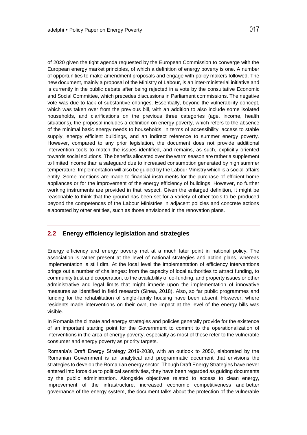of 2020 given the tight agenda requested by the European Commission to converge with the European energy market principles, of which a definition of energy poverty is one. A number of opportunities to make amendment proposals and engage with policy makers followed. The new document, mainly a proposal of the Ministry of Labour, is an inter-ministerial initiative and is currently in the public debate after being rejected in a vote by the consultative Economic and Social Committee, which precedes discussions in Parliament commissions. The negative vote was due to lack of substantive changes. Essentially, beyond the vulnerability concept, which was taken over from the previous bill, with an addition to also include some isolated households, and clarifications on the previous three categories (age, income, health situations), the proposal includes a definition on energy poverty, which refers to the absence of the minimal basic energy needs to households, in terms of accessibility, access to stable supply, energy efficient buildings, and an indirect reference to summer energy poverty. However, compared to any prior legislation, the document does not provide additional intervention tools to match the issues identified, and remains, as such, explicitly oriented towards social solutions. The benefits allocated over the warm season are rather a supplement to limited income than a safeguard due to increased consumption generated by high summer temperature. Implementation will also be guided by the Labour Ministry which is a social-affairs entity. Some mentions are made to financial instruments for the purchase of efficient home appliances or for the improvement of the energy efficiency of buildings. However, no further working instruments are provided in that respect. Given the enlarged definition, it might be reasonable to think that the ground has been set for a variety of other tools to be produced beyond the competences of the Labour Ministries in adjacent policies and concrete actions elaborated by other entities, such as those envisioned in the renovation plans.

#### <span id="page-20-0"></span>**2.2 Energy efficiency legislation and strategies**

Energy efficiency and energy poverty met at a much later point in national policy. The association is rather present at the level of national strategies and action plans, whereas implementation is still dim. At the local level the implementation of efficiency interventions brings out a number of challenges: from the capacity of local authorities to attract funding, to community trust and cooperation, to the availability of co-funding, and property issues or other administrative and legal limits that might impede upon the implementation of innovative measures as identified in field research (Sinea, 2018). Also, so far public programmes and funding for the rehabilitation of single-family housing have been absent. However, where residents made interventions on their own, the impact at the level of the energy bills was visible.

In Romania the climate and energy strategies and policies generally provide for the existence of an important starting point for the Government to commit to the operationalization of interventions in the area of energy poverty, especially as most of these refer to the vulnerable consumer and energy poverty as priority targets.

Romania's Draft Energy Strategy 2019-2030, with an outlook to 2050, elaborated by the Romanian Government is an analytical and programmatic document that envisions the strategies to develop the Romanian energy sector. Though Draft Energy Strategies have never entered into force due to political sensitivities, they have been regarded as guiding documents by the public administration. Alongside objectives related to access to clean energy, improvement of the infrastructure, increased economic competitiveness and better governance of the energy system, the document talks about the protection of the vulnerable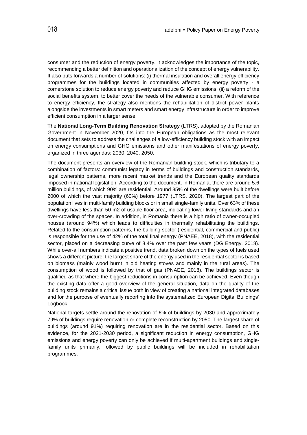consumer and the reduction of energy poverty. It acknowledges the importance of the topic, recommending a better definition and operationalization of the concept of energy vulnerability. It also puts forwards a number of solutions: (i) thermal insulation and overall energy efficiency programmes for the buildings located in communities affected by energy poverty - a cornerstone solution to reduce energy poverty and reduce GHG emissions; (ii) a reform of the social benefits system, to better cover the needs of the vulnerable consumer. With reference to energy efficiency, the strategy also mentions the rehabilitation of district power plants alongside the investments in smart meters and smart energy infrastructure in order to improve efficient consumption in a larger sense.

The **National Long-Term Building Renovation Strategy** (LTRS), adopted by the Romanian Government in November 2020, fits into the European obligations as the most relevant document that sets to address the challenges of a low-efficiency building stock with an impact on energy consumptions and GHG emissions and other manifestations of energy poverty, organized in three agendas: 2030, 2040, 2050.

The document presents an overview of the Romanian building stock, which is tributary to a combination of factors: communist legacy in terms of buildings and construction standards, legal ownership patterns, more recent market trends and the European quality standards imposed in national legislation. According to the document, in Romania, there are around 5.6 million buildings, of which 90% are residential. Around 85% of the dwellings were built before 2000 of which the vast majority (60%) before 1977 (LTRS, 2020). The largest part of the population lives in multi-family building blocks or in small single-family units. Over 63% of these dwellings have less than 50 m2 of usable floor area, indicating lower living standards and an over-crowding of the spaces. In addition, in Romania there is a high ratio of owner-occupied houses (around 94%) which leads to difficulties in thermally rehabilitating the buildings. Related to the consumption patterns, the building sector (residential, commercial and public) is responsible for the use of 42% of the total final energy (PNAEE, 2018), with the residential sector, placed on a decreasing curve of 8.4% over the past few years (DG Energy, 2018). While over-all numbers indicate a positive trend, data broken down on the types of fuels used shows a different picture: the largest share of the energy used in the residential sector is based on biomass (mainly wood burnt in old heating stoves and mainly in the rural areas). The consumption of wood is followed by that of gas (PNAEE, 2018). The buildings sector is qualified as that where the biggest reductions in consumption can be achieved. Even though the existing data offer a good overview of the general situation, data on the quality of the building stock remains a critical issue both in view of creating a national integrated databases and for the purpose of eventually reporting into the systematized European Digital Buildings' Logbook.

National targets settle around the renovation of 6% of buildings by 2030 and approximately 79% of buildings require renovation or complete reconstruction by 2050. The largest share of buildings (around 91%) requiring renovation are in the residential sector. Based on this evidence, for the 2021-2030 period, a significant reduction in energy consumption, GHG emissions and energy poverty can only be achieved if multi-apartment buildings and singlefamily units primarily, followed by public buildings will be included in rehabilitation programmes.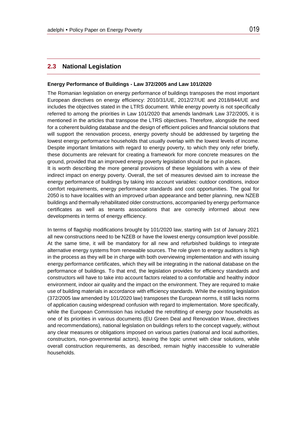#### <span id="page-22-0"></span>**2.3 National Legislation**

#### **Energy Performance of Buildings - Law 372/2005 and Law 101/2020**

The Romanian legislation on energy performance of buildings transposes the most important European directives on energy efficiency: 2010/31/UE, 2012/27/UE and 2018/844/UE and includes the objectives stated in the LTRS document. While energy poverty is not specifically referred to among the priorities in Law 101/2020 that amends landmark Law 372/2005, it is mentioned in the articles that transpose the LTRS objectives. Therefore, alongside the need for a coherent building database and the design of efficient policies and financial solutions that will support the renovation process, energy poverty should be addressed by targeting the lowest energy performance households that usually overlap with the lowest levels of income. Despite important limitations with regard to energy poverty, to which they only refer briefly, these documents are relevant for creating a framework for more concrete measures on the ground, provided that an improved energy poverty legislation should be put in places.

It is worth describing the more general provisions of these legislations with a view of their indirect impact on energy poverty. Overall, the set of measures devised aim to increase the energy performance of buildings by taking into account variables: outdoor conditions, indoor comfort requirements, energy performance standards and cost opportunities. The goal for 2050 is to have localities with an improved urban appearance and better planning, new NZEB buildings and thermally rehabilitated older constructions, accompanied by energy performance certificates as well as tenants associations that are correctly informed about new developments in terms of energy efficiency.

In terms of flagship modifications brought by 101/2020 law, starting with 1st of January 2021 all new constructions need to be NZEB or have the lowest energy consumption level possible. At the same time, it will be mandatory for all new and refurbished buildings to integrate alternative energy systems from renewable sources. The role given to energy auditors is high in the process as they will be in charge with both overviewing implementation and with issuing energy performance certificates, which they will be integrating in the national database on the performance of buildings. To that end, the legislation provides for efficiency standards and constructors will have to take into account factors related to a comfortable and healthy indoor environment, indoor air quality and the impact on the environment. They are required to make use of building materials in accordance with efficiency standards. While the existing legislation (372/2005 law amended by 101/2020 law) transposes the European norms, it still lacks norms of application causing widespread confusion with regard to implementation. More specifically, while the European Commission has included the retrofitting of energy poor households as one of its priorities in various documents (EU Green Deal and Renovation Wave, directives and recommendations), national legislation on buildings refers to the concept vaguely, without any clear measures or obligations imposed on various parties (national and local authorities, constructors, non-governmental actors), leaving the topic unmet with clear solutions, while overall construction requirements, as described, remain highly inaccessible to vulnerable households.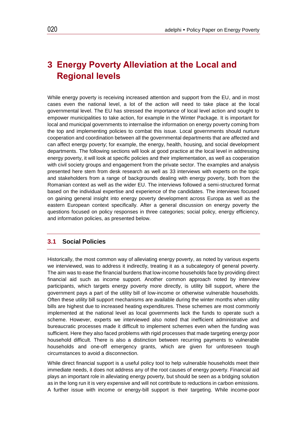## <span id="page-23-0"></span>**3 Energy Poverty Alleviation at the Local and Regional levels**

While energy poverty is receiving increased attention and support from the EU, and in most cases even the national level, a lot of the action will need to take place at the local governmental level. The EU has stressed the importance of local level action and sought to empower municipalities to take action, for example in the Winter Package. It is important for local and municipal governments to internalise the information on energy poverty coming from the top and implementing policies to combat this issue. Local governments should nurture cooperation and coordination between all the governmental departments that are affected and can affect energy poverty; for example, the energy, health, housing, and social development departments. The following sections will look at good practice at the local level in addressing energy poverty, it will look at specific policies and their implementation, as well as cooperation with civil society groups and engagement from the private sector. The examples and analysis presented here stem from desk research as well as 33 interviews with experts on the topic and stakeholders from a range of backgrounds dealing with energy poverty, both from the Romanian context as well as the wider EU. The interviews followed a semi-structured format based on the individual expertise and experience of the candidates. The interviews focused on gaining general insight into energy poverty development across Europa as well as the eastern European context specifically. After a general discussion on energy poverty the questions focused on policy responses in three categories; social policy, energy efficiency, and information policies, as presented below.

#### <span id="page-23-1"></span>**3.1 Social Policies**

Historically, the most common way of alleviating energy poverty, as noted by various experts we interviewed, was to address it indirectly, treating it as a subcategory of general poverty. The aim was to ease the financial burdens that low-income households face by providing direct financial aid such as income support. Another common approach noted by interview participants, which targets energy poverty more directly, is utility bill support, where the government pays a part of the utility bill of low-income or otherwise vulnerable households. Often these utility bill support mechanisms are available during the winter months when utility bills are highest due to increased heating expenditures. These schemes are most commonly implemented at the national level as local governments lack the funds to operate such a scheme. However, experts we interviewed also noted that inefficient administrative and bureaucratic processes made it difficult to implement schemes even when the funding was sufficient. Here they also faced problems with rigid processes that made targeting energy poor household difficult. There is also a distinction between recurring payments to vulnerable households and one-off emergency grants, which are given for unforeseen tough circumstances to avoid a disconnection.

While direct financial support is a useful policy tool to help vulnerable households meet their immediate needs, it does not address any of the root causes of energy poverty. Financial aid plays an important role in alleviating energy poverty, but should be seen as a bridging solution as in the long run it is very expensive and will not contribute to reductions in carbon emissions. A further issue with income or energy-bill support is their targeting. While income-poor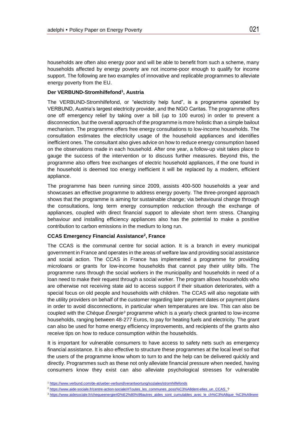households are often also energy poor and will be able to benefit from such a scheme, many households affected by energy poverty are not income-poor enough to qualify for income support. The following are two examples of innovative and replicable programmes to alleviate energy poverty from the EU.

#### **Der VERBUND-Stromhilfefond<sup>1</sup> , Austria**

The VERBUND-Stromhilfefond, or "electricity help fund", is a programme operated by VERBUND, Austria's largest electricity provider, and the NGO Caritas. The programme offers one off emergency relief by taking over a bill (up to 100 euros) in order to prevent a disconnection, but the overall approach of the programme is more holistic than a simple bailout mechanism. The programme offers free energy consultations to low-income households. The consultation estimates the electricity usage of the household appliances and identifies inefficient ones. The consultant also gives advice on how to reduce energy consumption based on the observations made in each household. After one year, a follow-up visit takes place to gauge the success of the intervention or to discuss further measures. Beyond this, the programme also offers free exchanges of electric household appliances, if the one found in the household is deemed too energy inefficient it will be replaced by a modern, efficient appliance.

The programme has been running since 2009, assists 400-500 households a year and showcases an effective programme to address energy poverty. The three-pronged approach shows that the programme is aiming for sustainable change; via behavioural change through the consultations, long term energy consumption reduction through the exchange of appliances, coupled with direct financial support to alleviate short term stress. Changing behaviour and installing efficiency appliances also has the potential to make a positive contribution to carbon emissions in the medium to long run.

#### **CCAS Emergency Financial Assistance<sup>2</sup> , France**

The CCAS is the communal centre for social action. It is a branch in every municipal government in France and operates in the areas of welfare law and providing social assistance and social action. The CCAS in France has implemented a programme for providing microloans or grants for low-income households that cannot pay their utility bills. The programme runs through the social workers in the municipality and households in need of a loan need to make their request through a social worker. The program allows households who are otherwise not receiving state aid to access support if their situation deteriorates, with a special focus on old people and households with children. The CCAS will also negotiate with the utility providers on behalf of the customer regarding later payment dates or payment plans in order to avoid disconnections, in particular when temperatures are low. This can also be coupled with the *Chèque Énergie<sup>3</sup>* programme which is a yearly check granted to low-income households, ranging between 48-277 Euros, to pay for heating fuels and electricity. The grant can also be used for home energy efficiency improvements, and recipients of the grants also receive tips on how to reduce consumption within the households.

It is important for vulnerable consumers to have access to safety nets such as emergency financial assistance. It is also effective to structure these programmes at the local level so that the users of the programme know whom to turn to and the help can be delivered quickly and directly. Programmes such as these not only alleviate financial pressure when needed, having consumers know they exist can also alleviate psychological stresses for vulnerable

<sup>1</sup> <https://www.verbund.com/de-at/ueber-verbund/verantwortung/soziales/stromhilfefonds>

<sup>&</sup>lt;sup>2</sup> [https://www.aide-sociale.fr/centre-action-sociale/#Toutes\\_les\\_communes\\_poss%C3%A8dent-elles\\_un\\_CCAS\\_?](https://www.aide-sociale.fr/centre-action-sociale/#Toutes_les_communes_poss%C3%A8dent-elles_un_CCAS_)

<sup>3</sup> [https://www.aidesociale.fr/chequeenergie#D%E2%80%99autres\\_aides\\_sont\\_cumulables\\_avec\\_le\\_ch%C3%A8que\\_%C3%A9nere](https://www.aidesociale.fr/chequeenergie#D%E2%80%99autres_aides_sont_cumulables_avec_le_ch%C3%A8que_%C3%A9nere)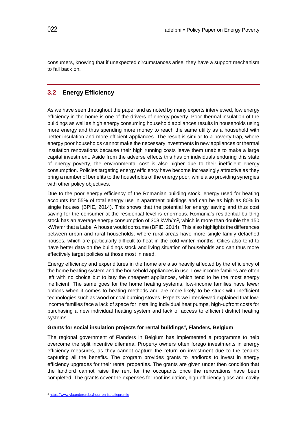consumers, knowing that if unexpected circumstances arise, they have a support mechanism to fall back on.

#### <span id="page-25-0"></span>**3.2 Energy Efficiency**

As we have seen throughout the paper and as noted by many experts interviewed, low energy efficiency in the home is one of the drivers of energy poverty. Poor thermal insulation of the buildings as well as high energy consuming household appliances results in households using more energy and thus spending more money to reach the same utility as a household with better insulation and more efficient appliances. The result is similar to a poverty trap, where energy poor households cannot make the necessary investments in new appliances or thermal insulation renovations because their high running costs leave them unable to make a large capital investment. Aside from the adverse effects this has on individuals enduring this state of energy poverty, the environmental cost is also higher due to their inefficient energy consumption. Policies targeting energy efficiency have become increasingly attractive as they bring a number of benefits to the households of the energy poor, while also providing synergies with other policy objectives.

Due to the poor energy efficiency of the Romanian building stock, energy used for heating accounts for 55% of total energy use in apartment buildings and can be as high as 80% in single houses (BPIE, 2014). This shows that the potential for energy saving and thus cost saving for the consumer at the residential level is enormous. Romania's residential building stock has an average energy consumption of 308 kWh/m<sup>2</sup>, which is more than double the 150 kWh/m<sup>2</sup> that a Label A house would consume (BPIE, 2014). This also highlights the differences between urban and rural households, where rural areas have more single-family detached houses, which are particularly difficult to heat in the cold winter months. Cities also tend to have better data on the buildings stock and living situation of households and can thus more effectively target policies at those most in need.

Energy efficiency and expenditures in the home are also heavily affected by the efficiency of the home heating system and the household appliances in use. Low-income families are often left with no choice but to buy the cheapest appliances, which tend to be the most energy inefficient. The same goes for the home heating systems, low-income families have fewer options when it comes to heating methods and are more likely to be stuck with inefficient technologies such as wood or coal burning stoves. Experts we interviewed explained that lowincome families face a lack of space for installing individual heat pumps, high-upfront costs for purchasing a new individual heating system and lack of access to efficient district heating systems.

#### **Grants for social insulation projects for rental buildings<sup>4</sup> , Flanders, Belgium**

The regional government of Flanders in Belgium has implemented a programme to help overcome the split incentive dilemma. Property owners often forego investments in energy efficiency measures, as they cannot capture the return on investment due to the tenants capturing all the benefits. The program provides grants to landlords to invest in energy efficiency upgrades for their rental properties. The grants are given under then condition that the landlord cannot raise the rent for the occupants once the renovations have been completed. The grants cover the expenses for roof insulation, high efficiency glass and cavity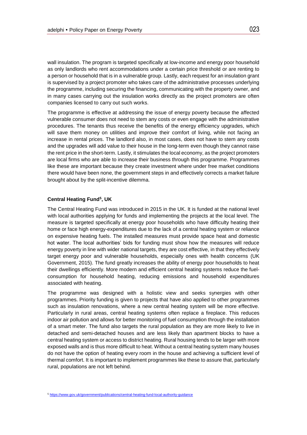wall insulation. The program is targeted specifically at low-income and energy poor household as only landlords who rent accommodations under a certain price threshold or are renting to a person or household that is in a vulnerable group. Lastly, each request for an insulation grant is supervised by a project promoter who takes care of the administrative processes underlying the programme, including securing the financing, communicating with the property owner, and in many cases carrying out the insulation works directly as the project promoters are often companies licensed to carry out such works.

The programme is effective at addressing the issue of energy poverty because the affected vulnerable consumer does not need to stem any costs or even engage with the administrative procedures. The tenants thus receive the benefits of the energy efficiency upgrades, which will save them money on utilities and improve their comfort of living, while not facing an increase in rental prices. The landlord also, in most cases, does not have to stem any costs and the upgrades will add value to their house in the long-term even though they cannot raise the rent price in the short-term. Lastly, it stimulates the local economy, as the project promoters are local firms who are able to increase their business through this programme. Programmes like these are important because they create investment where under free market conditions there would have been none, the government steps in and effectively corrects a market failure brought about by the split-incentive dilemma.

#### **Central Heating Fund<sup>5</sup> , UK**

The Central Heating Fund was introduced in 2015 in the UK. It is funded at the national level with local authorities applying for funds and implementing the projects at the local level. The measure is targeted specifically at energy poor households who have difficulty heating their home or face high energy-expenditures due to the lack of a central heating system or reliance on expensive heating fuels. The installed measures must provide space heat and domestic hot water. The local authorities' bids for funding must show how the measures will reduce energy poverty in line with wider national targets, they are cost effective, in that they effectively target energy poor and vulnerable households, especially ones with health concerns (UK Government, 2015). The fund greatly increases the ability of energy poor households to heat their dwellings efficiently. More modern and efficient central heating systems reduce the fuelconsumption for household heating, reducing emissions and household expenditures associated with heating.

The programme was designed with a holistic view and seeks synergies with other programmes. Priority funding is given to projects that have also applied to other programmes such as insulation renovations, where a new central heating system will be more effective. Particularly in rural areas, central heating systems often replace a fireplace. This reduces indoor air pollution and allows for better monitoring of fuel consumption through the installation of a smart meter. The fund also targets the rural population as they are more likely to live in detached and semi-detached houses and are less likely than apartment blocks to have a central heating system or access to district heating. Rural housing tends to be larger with more exposed walls and is thus more difficult to heat. Without a central heating system many houses do not have the option of heating every room in the house and achieving a sufficient level of thermal comfort. It is important to implement programmes like these to assure that, particularly rural, populations are not left behind.

<sup>5</sup> <https://www.gov.uk/government/publications/central-heating-fund-local-authority-guidance>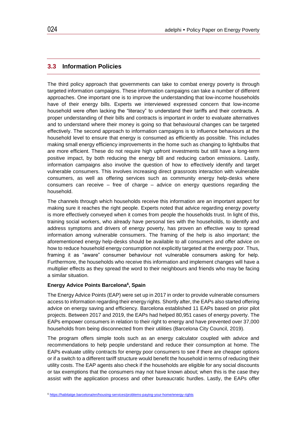#### <span id="page-27-0"></span>**3.3 Information Policies**

The third policy approach that governments can take to combat energy poverty is through targeted information campaigns. These information campaigns can take a number of different approaches. One important one is to improve the understanding that low-income households have of their energy bills. Experts we interviewed expressed concern that low-income household were often lacking the "literacy" to understand their tariffs and their contracts. A proper understanding of their bills and contracts is important in order to evaluate alternatives and to understand where their money is going so that behavioural changes can be targeted effectively. The second approach to information campaigns is to influence behaviours at the household level to ensure that energy is consumed as efficiently as possible. This includes making small energy efficiency improvements in the home such as changing to lightbulbs that are more efficient. These do not require high upfront investments but still have a long-term positive impact, by both reducing the energy bill and reducing carbon emissions. Lastly, information campaigns also involve the question of how to effectively identify and target vulnerable consumers. This involves increasing direct grassroots interaction with vulnerable consumers, as well as offering services such as community energy help-desks where consumers can receive – free of charge – advice on energy questions regarding the household.

The channels through which households receive this information are an important aspect for making sure it reaches the right people. Experts noted that advice regarding energy poverty is more effectively conveyed when it comes from people the households trust. In light of this, training social workers, who already have personal ties with the households, to identify and address symptoms and drivers of energy poverty, has proven an effective way to spread information among vulnerable consumers. The framing of the help is also important; the aforementioned energy help-desks should be available to all consumers and offer advice on how to reduce household energy consumption not explicitly targeted at the energy poor. Thus, framing it as "aware" consumer behaviour not vulnerable consumers asking for help. Furthermore, the households who receive this information and implement changes will have a multiplier effects as they spread the word to their neighbours and friends who may be facing a similar situation.

#### **Energy Advice Points Barcelona<sup>6</sup> , Spain**

The Energy Advice Points (EAP) were set up in 2017 in order to provide vulnerable consumers access to information regarding their energy rights. Shortly after, the EAPs also started offering advice on energy saving and efficiency. Barcelona established 11 EAPs based on prior pilot projects. Between 2017 and 2019, the EAPs had helped 80,951 cases of energy poverty. The EAPs empower consumers in relation to their right to energy and have prevented over 37,000 households from being disconnected from their utilities (Barcelona City Council, 2019).

The program offers simple tools such as an energy calculator coupled with advice and recommendations to help people understand and reduce their consumption at home. The EAPs evaluate utility contracts for energy poor consumers to see if there are cheaper options or if a switch to a different tariff structure would benefit the household in terms of reducing their utility costs. The EAP agents also check if the households are eligible for any social discounts or tax exemptions that the consumers may not have known about; when this is the case they assist with the application process and other bureaucratic hurdles. Lastly, the EAPs offer

<sup>6</sup> <https://habitatge.barcelona/en/housing-services/problems-paying-your-home/energy-rights>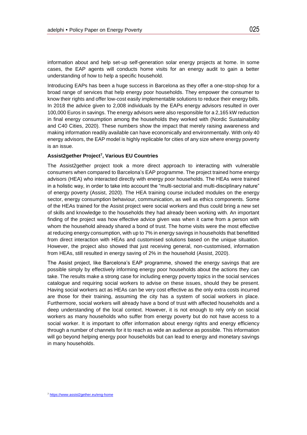information about and help set-up self-generation solar energy projects at home. In some cases, the EAP agents will conducts home visits for an energy audit to gain a better understanding of how to help a specific household.

Introducing EAPs has been a huge success in Barcelona as they offer a one-stop-shop for a broad range of services that help energy poor households. They empower the consumer to know their rights and offer low-cost easily implementable solutions to reduce their energy bills. In 2018 the advice given to 2,008 individuals by the EAPs energy advisors resulted in over 100,000 Euros in savings. The energy advisors were also responsible for a 2,165 kW reduction in final energy consumption among the households they worked with (Nordic Sustainability and C40 Cities, 2020). These numbers show the impact that merely raising awareness and making information readily available can have economically and environmentally. With only 40 energy advisors, the EAP model is highly replicable for cities of any size where energy poverty is an issue.

#### **Assist2gether Project<sup>7</sup> , Various EU Countries**

The Assist2gether project took a more direct approach to interacting with vulnerable consumers when compared to Barcelona's EAP programme. The project trained home energy advisors (HEA) who interacted directly with energy poor households. The HEAs were trained in a holistic way, in order to take into account the "multi-sectorial and multi-disciplinary nature" of energy poverty (Assist, 2020). The HEA training course included modules on the energy sector, energy consumption behaviour, communication, as well as ethics components. Some of the HEAs trained for the Assist project were social workers and thus could bring a new set of skills and knowledge to the households they had already been working with. An important finding of the project was how effective advice given was when it came from a person with whom the household already shared a bond of trust. The home visits were the most effective at reducing energy consumption, with up to 7% in energy savings in households that benefitted from direct interaction with HEAs and customised solutions based on the unique situation. However, the project also showed that just receiving general, non-customised, information from HEAs, still resulted in energy saving of 2% in the household (Assist, 2020).

The Assist project, like Barcelona's EAP programme, showed the energy savings that are possible simply by effectively informing energy poor households about the actions they can take. The results make a strong case for including energy poverty topics in the social services catalogue and requiring social workers to advise on these issues, should they be present. Having social workers act as HEAs can be very cost effective as the only extra costs incurred are those for their training, assuming the city has a system of social workers in place. Furthermore, social workers will already have a bond of trust with affected households and a deep understanding of the local context. However, it is not enough to rely only on social workers as many households who suffer from energy poverty but do not have access to a social worker. It is important to offer information about energy rights and energy efficiency through a number of channels for it to reach as wide an audience as possible. This information will go beyond helping energy poor households but can lead to energy and monetary savings in many households.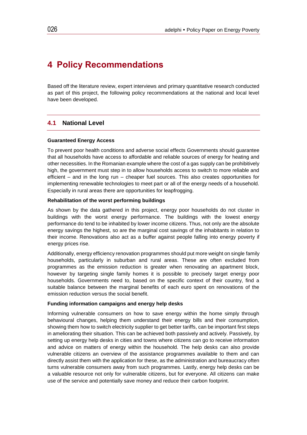## <span id="page-29-0"></span>**4 Policy Recommendations**

Based off the literature review, expert interviews and primary quantitative research conducted as part of this project, the following policy recommendations at the national and local level have been developed.

#### <span id="page-29-1"></span>**4.1 National Level**

#### **Guaranteed Energy Access**

To prevent poor health conditions and adverse social effects Governments should guarantee that all households have access to affordable and reliable sources of energy for heating and other necessities. In the Romanian example where the cost of a gas supply can be prohibitively high, the government must step in to allow households access to switch to more reliable and efficient – and in the long run – cheaper fuel sources. This also creates opportunities for implementing renewable technologies to meet part or all of the energy needs of a household. Especially in rural areas there are opportunities for leapfrogging.

#### **Rehabilitation of the worst performing buildings**

As shown by the data gathered in this project, energy poor households do not cluster in buildings with the worst energy performance. The buildings with the lowest energy performance do tend to be inhabited by lower income citizens. Thus, not only are the absolute energy savings the highest, so are the marginal cost savings of the inhabitants in relation to their income. Renovations also act as a buffer against people falling into energy poverty if energy prices rise.

Additionally, energy efficiency renovation programmes should put more weight on single family households, particularly in suburban and rural areas. These are often excluded from programmes as the emission reduction is greater when renovating an apartment block, however by targeting single family homes it is possible to precisely target energy poor households. Governments need to, based on the specific context of their country, find a suitable balance between the marginal benefits of each euro spent on renovations of the emission reduction versus the social benefit.

#### **Funding information campaigns and energy help desks**

Informing vulnerable consumers on how to save energy within the home simply through behavioural changes, helping them understand their energy bills and their consumption, showing them how to switch electricity supplier to get better tariffs, can be important first steps in ameliorating their situation. This can be achieved both passively and actively. Passively, by setting up energy help desks in cities and towns where citizens can go to receive information and advice on matters of energy within the household. The help desks can also provide vulnerable citizens an overview of the assistance programmes available to them and can directly assist them with the application for these, as the administration and bureaucracy often turns vulnerable consumers away from such programmes. Lastly, energy help desks can be a valuable resource not only for vulnerable citizens, but for everyone. All citizens can make use of the service and potentially save money and reduce their carbon footprint.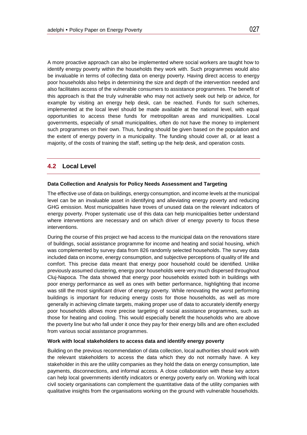A more proactive approach can also be implemented where social workers are taught how to identify energy poverty within the households they work with. Such programmes would also be invaluable in terms of collecting data on energy poverty. Having direct access to energy poor households also helps in determining the size and depth of the intervention needed and also facilitates access of the vulnerable consumers to assistance programmes. The benefit of this approach is that the truly vulnerable who may not actively seek out help or advice, for example by visiting an energy help desk, can be reached. Funds for such schemes, implemented at the local level should be made available at the national level, with equal opportunities to access these funds for metropolitan areas and municipalities. Local governments, especially of small municipalities, often do not have the money to implement such programmes on their own. Thus, funding should be given based on the population and the extent of energy poverty in a municipality. The funding should cover all, or at least a majority, of the costs of training the staff, setting up the help desk, and operation costs.

#### <span id="page-30-0"></span>**4.2 Local Level**

#### **Data Collection and Analysis for Policy Needs Assessment and Targeting**

The effective use of data on buildings, energy consumption, and income levels at the municipal level can be an invaluable asset in identifying and alleviating energy poverty and reducing GHG emission. Most municipalities have troves of unused data on the relevant indicators of energy poverty. Proper systematic use of this data can help municipalities better understand where interventions are necessary and on which driver of energy poverty to focus these interventions.

During the course of this project we had access to the municipal data on the renovations stare of buildings, social assistance programme for income and heating and social housing, which was complemented by survey data from 826 randomly selected households. The survey data included data on income, energy consumption, and subjective perceptions of quality of life and comfort. This precise data meant that energy poor household could be identified. Unlike previously assumed clustering, energy poor households were very much dispersed throughout Cluj-Napoca. The data showed that energy poor households existed both in buildings with poor energy performance as well as ones with better performance, highlighting that income was still the most significant driver of energy poverty. While renovating the worst performing buildings is important for reducing energy costs for those households, as well as more generally in achieving climate targets, making proper use of data to accurately identify energy poor households allows more precise targeting of social assistance programmes, such as those for heating and cooling. This would especially benefit the households who are above the poverty line but who fall under it once they pay for their energy bills and are often excluded from various social assistance programmes.

#### **Work with local stakeholders to access data and identify energy poverty**

Building on the previous recommendation of data collection, local authorities should work with the relevant stakeholders to access the data which they do not normally have. A key stakeholder in this are the utility companies as they hold the data on energy consumption, late payments, disconnections, and informal access. A close collaboration with these key actors can help local governments identify indicators or energy poverty early on. Working with local civil society organisations can complement the quantitative data of the utility companies with qualitative insights from the organisations working on the ground with vulnerable households.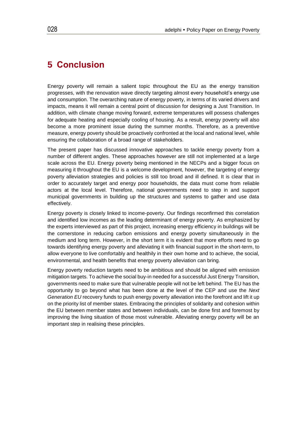### <span id="page-31-0"></span>**5 Conclusion**

Energy poverty will remain a salient topic throughout the EU as the energy transition progresses, with the renovation wave directly targeting almost every household's energy use and consumption. The overarching nature of energy poverty, in terms of its varied drivers and impacts, means it will remain a central point of discussion for designing a Just Transition. In addition, with climate change moving forward, extreme temperatures will possess challenges for adequate heating and especially cooling of housing. As a result, energy poverty will also become a more prominent issue during the summer months. Therefore, as a preventive measure, energy poverty should be proactively confronted at the local and national level, while ensuring the collaboration of a broad range of stakeholders.

The present paper has discussed innovative approaches to tackle energy poverty from a number of different angles. These approaches however are still not implemented at a large scale across the EU. Energy poverty being mentioned in the NECPs and a bigger focus on measuring it throughout the EU is a welcome development, however, the targeting of energy poverty alleviation strategies and policies is still too broad and ill defined. It is clear that in order to accurately target and energy poor households, the data must come from reliable actors at the local level. Therefore, national governments need to step in and support municipal governments in building up the structures and systems to gather and use data effectively.

Energy poverty is closely linked to income-poverty. Our findings reconfirmed this correlation and identified low incomes as the leading determinant of energy poverty. As emphasized by the experts interviewed as part of this project, increasing energy efficiency in buildings will be the cornerstone in reducing carbon emissions and energy poverty simultaneously in the medium and long term. However, in the short term it is evident that more efforts need to go towards identifying energy poverty and alleviating it with financial support in the short-term, to allow everyone to live comfortably and healthily in their own home and to achieve, the social, environmental, and health benefits that energy poverty alleviation can bring.

Energy poverty reduction targets need to be ambitious and should be aligned with emission mitigation targets. To achieve the social buy-in needed for a successful Just Energy Transition, governments need to make sure that vulnerable people will not be left behind. The EU has the opportunity to go beyond what has been done at the level of the CEP and use the *Next Generation EU* recovery funds to push energy poverty alleviation into the forefront and lift it up on the priority list of member states. Embracing the principles of solidarity and cohesion within the EU between member states and between individuals, can be done first and foremost by improving the living situation of those most vulnerable. Alleviating energy poverty will be an important step in realising these principles.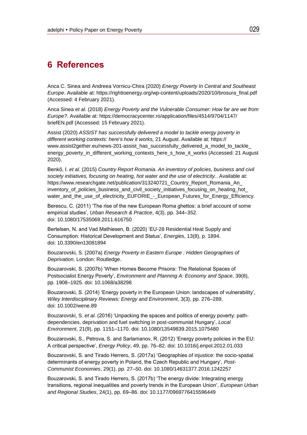### <span id="page-32-0"></span>**6 References**

Anca C. Sinea and Andreea Vornicu-Chira (2020) *Energy Poverty In Central and Southeast Europe*. Available at: https://righttoenergy.org/wp-content/uploads/2020/10/brosura\_final.pdf (Accessed: 4 February 2021).

Anca Sinea *et al.* (2018) *Energy Poverty and the Vulnerable Consumer: How far are we from Europe?*. Available at: https://democracycenter.ro/application/files/4514/9704/1147/ briefEN.pdf (Accessed: 15 February 2021).

Assist (2020) *ASSIST has successfully delivered a model to tackle energy poverty in different working contexts: here's how it works,* 21 August. Available at: https:// www.assist2gether.eu/news-201-assist\_has\_successfully\_delivered\_a\_model\_to\_tackle energy\_poverty\_in\_different\_working\_contexts\_here\_s\_how\_it\_works (Accessed: 21 August 2020).

Benkő, I. *et al.* (2015) *Country Report Romania. An inventory of policies, business and civil society initiatives, focusing on heating, hot water and the use of electricity.*. Available at: https://www.researchgate.net/publication/313240721\_Country\_Report\_Romania\_An\_ inventory of policies business and civil society initiatives focusing on heating hot water and the use of electricity EUFORIE - European Futures for Energy Efficiency.

Berescu, C. (2011) 'The rise of the new European Roma ghettos: a brief account of some empirical studies', *Urban Research & Practice*, 4(3), pp. 344–352. doi: 10.1080/17535069.2011.616750

Bertelsen, N. and Vad Mathiesen, B. (2020) 'EU-28 Residential Heat Supply and Consumption: Historical Development and Status', *Energies*, 13(8), p. 1894. doi: 10.3390/en13081894

Bouzarovski, S. (2007a) *Energy Poverty in Eastern Europe : Hidden Geographies of Deprivation*. London: Routledge.

Bouzarovski, S. (2007b) 'When Homes Become Prisons: The Relational Spaces of Postsocialist Energy Poverty', *Environment and Planning A: Economy and Space*, 39(8), pp. 1908–1925. doi: 10.1068/a38298

Bouzarovski, S. (2014) 'Energy poverty in the European Union: landscapes of vulnerability', *Wiley Interdisciplinary Reviews: Energy and Environment*, 3(3), pp. 276–289. doi: 10.1002/wene.89

Bouzarovski, S. *et al.* (2016) 'Unpacking the spaces and politics of energy poverty: pathdependencies, deprivation and fuel switching in post-communist Hungary', *Local Environment*, 21(9), pp. 1151–1170. doi: 10.1080/13549839.2015.1075480

Bouzarovski, S., Petrova, S. and Sarlamanov, R. (2012) 'Energy poverty policies in the EU: A critical perspective', *Energy Policy*, 49, pp. 76–82. doi: 10.1016/j.enpol.2012.01.033

Bouzarovski, S. and Tirado Herrero, S. (2017a) 'Geographies of injustice: the socio-spatial determinants of energy poverty in Poland, the Czech Republic and Hungary', *Post-Communist Economies*, 29(1), pp. 27–50. doi: 10.1080/14631377.2016.1242257

Bouzarovski, S. and Tirado Herrero, S. (2017b) 'The energy divide: Integrating energy transitions, regional inequalities and poverty trends in the European Union', *European Urban and Regional Studies*, 24(1), pp. 69–86. doi: 10.1177/0969776415596449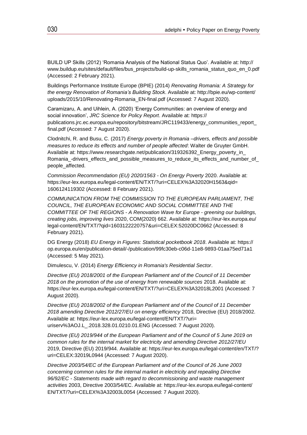BUILD UP Skills (2012) 'Romania Analysis of the National Status Quo'. Available at: http:// www.buildup.eu/sites/default/files/bus\_projects/build-up-skills\_romania\_status\_quo\_en\_0.pdf (Accessed: 2 February 2021).

Buildings Performance Institute Europe (BPIE) (2014) *Renovating Romania: A Strategy for the energy Renovation of Romania's Building Stock*. Available at: http://bpie.eu/wp-content/ uploads/2015/10/Renovating-Romania\_EN-final.pdf (Accessed: 7 August 2020).

Caramizaru, A. and Uihlein, A. (2020) 'Energy Communities: an overview of energy and social innovation', *JRC Science for Policy Report*. Available at: https:// publications.jrc.ec.europa.eu/repository/bitstream/JRC119433/energy\_communities\_report\_ final.pdf (Accessed: 7 August 2020).

Clodnitchi, R. and Busu, C. (2017) *Energy poverty in Romania –drivers, effects and possible measures to reduce its effects and number of people affected*: Walter de Gruyter GmbH. Available at: https://www.researchgate.net/publication/319326392\_Energy\_poverty\_in Romania\_-drivers\_effects\_and\_possible\_measures\_to\_reduce\_its\_effects\_and\_number\_of\_ people\_affected.

*Commission Recommendation (EU) 2020/1563 - On Energy Poverty* 2020. Available at: https://eur-lex.europa.eu/legal-content/EN/TXT/?uri=CELEX%3A32020H1563&qid= 1606124119302 (Accessed: 8 February 2021).

*COMMUNICATION FROM THE COMMISSION TO THE EUROPEAN PARLIAMENT, THE COUNCIL, THE EUROPEAN ECONOMIC AND SOCIAL COMMITTEE AND THE COMMITTEE OF THE REGIONS - A Renovation Wave for Europe - greening our buildings, creating jobs, improving lives* 2020, COM(2020) 662. Available at: https://eur-lex.europa.eu/ legal-content/EN/TXT/?qid=1603122220757&uri=CELEX:52020DC0662 (Accessed: 8 February 2021).

DG Energy (2018) *EU Energy in Figures: Statistical pocketbook 2018*. Available at: https:// op.europa.eu/en/publication-detail/-/publication/99fc30eb-c06d-11e8-9893-01aa75ed71a1 (Accessed: 5 May 2021).

Dimulescu, V. (2014) *Energy Efficiency in Romania's Residential Sector*.

*Directive (EU) 2018/2001 of the European Parliament and of the Council of 11 December 2018 on the promotion of the use of energy from renewable sources* 2018. Available at: https://eur-lex.europa.eu/legal-content/EN/TXT/?uri=CELEX%3A32018L2001 (Accessed: 7 August 2020).

*Directive (EU) 2018/2002 of the European Parliament and of the Council of 11 December 2018 amending Directive 2012/27/EU on energy efficiency* 2018, Directive (EU) 2018/2002. Available at: https://eur-lex.europa.eu/legal-content/EN/TXT/?uri= uriserv%3AOJ.L\_.2018.328.01.0210.01.ENG (Accessed: 7 August 2020).

*Directive (EU) 2019/944 of the European Parliament and of the Council of 5 June 2019 on common rules for the internal market for electricity and amending Directive 2012/27/EU* 2019, Directive (EU) 2019/944. Available at: https://eur-lex.europa.eu/legal-content/en/TXT/? uri=CELEX:32019L0944 (Accessed: 7 August 2020).

*Directive 2003/54/EC of the European Parliament and of the Council of 26 June 2003 concerning common rules for the internal market in electricity and repealing Directive 96/92/EC - Statements made with regard to decommissioning and waste management activities* 2003, Directive 2003/54/EC. Available at: https://eur-lex.europa.eu/legal-content/ EN/TXT/?uri=CELEX%3A32003L0054 (Accessed: 7 August 2020).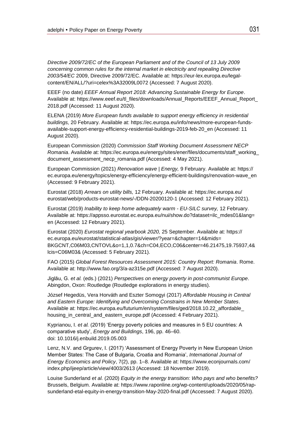*Directive 2009/72/EC of the European Parliament and of the Council of 13 July 2009 concerning common rules for the internal market in electricity and repealing Directive 2003/54/EC* 2009, Directive 2009/72/EC. Available at: https://eur-lex.europa.eu/legalcontent/EN/ALL/?uri=celex%3A32009L0072 (Accessed: 7 August 2020).

EEEF (no date) *EEEF Annual Report 2018: Advancing Sustainable Energy for Europe*. Available at: https://www.eeef.eu/tl\_files/downloads/Annual\_Reports/EEEF\_Annual\_Report\_ 2018.pdf (Accessed: 11 August 2020).

ELENA (2019) *More European funds available to support energy efficiency in residential buildings,* 20 February. Available at: https://ec.europa.eu/info/news/more-european-fundsavailable-support-energy-efficiency-residential-buildings-2019-feb-20\_en (Accessed: 11 August 2020).

European Commission (2020) *Commission Staff Working Document Assessment NECP Romania*. Available at: https://ec.europa.eu/energy/sites/ener/files/documents/staff\_working\_ document\_assessment\_necp\_romania.pdf (Accessed: 4 May 2021).

European Commission (2021) *Renovation wave | Energy,* 9 February. Available at: https:// ec.europa.eu/energy/topics/energy-efficiency/energy-efficient-buildings/renovation-wave\_en (Accessed: 9 February 2021).

Eurostat (2018) *Arrears on utility bills,* 12 February. Available at: https://ec.europa.eu/ eurostat/web/products-eurostat-news/-/DDN-20200120-1 (Accessed: 12 February 2021).

Eurostat (2019) *Inability to keep home adequately warm - EU-SILC survey,* 12 February. Available at: https://appsso.eurostat.ec.europa.eu/nui/show.do?dataset=ilc\_mdes01&lang= en (Accessed: 12 February 2021).

Eurostat (2020) *Eurostat regional yearbook 2020,* 25 September. Available at: https:// ec.europa.eu/eurostat/statistical-atlas/gis/viewer/?year=&chapter=14&mids= BKGCNT,C06M03,CNTOVL&o=1,1,0.7&ch=C04,ECO,C06&center=46.21475,19.75937,4& lcis=C06M03& (Accessed: 5 February 2021).

FAO (2015) *Global Forest Resources Assessment 2015: Country Report: Romania*. Rome. Available at: http://www.fao.org/3/a-az315e.pdf (Accessed: 7 August 2020).

Jiglău, G. *et al.* (eds.) (2021) *Perspectives on energy poverty in post-communist Europe*. Abingdon, Oxon: Routledge (Routledge explorations in energy studies).

József Hegedüs, Vera Horváth and Eszter Somogyi (2017) *Affordable Housing in Central and Eastern Europe: Identifying and Overcoming Constrains in New Member States*. Available at: https://ec.europa.eu/futurium/en/system/files/ged/2018.10.22\_affordable\_ housing\_in\_central\_and\_eastern\_europe.pdf (Accessed: 4 February 2021).

Kyprianou, I. *et al.* (2019) 'Energy poverty policies and measures in 5 EU countries: A comparative study', *Energy and Buildings*, 196, pp. 46–60. doi: 10.1016/j.enbuild.2019.05.003

Lenz, N.V. and Grgurev, I. (2017) 'Assessment of Energy Poverty in New European Union Member States: The Case of Bulgaria, Croatia and Romania', *International Journal of Energy Economics and Policy*, 7(2), pp. 1–8. Available at: https://www.econjournals.com/ index.php/ijeep/article/view/4003/2613 (Accessed: 18 November 2019).

Louise Sunderland *et al.* (2020) *Equity in the energy transition: Who pays and who benefits?* Brussels, Belgium. Available at: https://www.raponline.org/wp-content/uploads/2020/05/rapsunderland-etal-equity-in-energy-transition-May-2020-final.pdf (Accessed: 7 August 2020).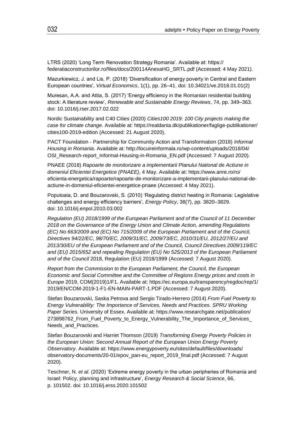LTRS (2020) 'Long Term Renovation Strategy Romania'. Available at: https:// federatiaconstructorilor.ro/files/docs/200114AnexaHG\_SRTL.pdf (Accessed: 4 May 2021).

Mazurkiewicz, J. and Lis, P. (2018) 'Diversification of energy poverty in Central and Eastern European countries', *Virtual Economics*, 1(1), pp. 26–41. doi: 10.34021/ve.2018.01.01(2)

Muresan, A.A. and Attia, S. (2017) 'Energy efficiency in the Romanian residential building stock: A literature review', *Renewable and Sustainable Energy Reviews*, 74, pp. 349–363. doi: 10.1016/j.rser.2017.02.022

Nordic Sustainability and C40 Cities (2020) *Cities100 2019: 100 City projects making the case for climate change*. Available at: https://realdania.dk/publikationer/faglige-publikationer/ cities100-2019-edition (Accessed: 21 August 2020).

PACT Foundation - Partnership for Community Action and Transformation (2018) *Informal Housing in Romania*. Available at: http://locuireinformala.ro/wp-content/uploads/2018/04/ OSI\_Research-report\_Informal-Housing-in-Romania\_EN.pdf (Accessed: 7 August 2020).

PNAEE (2018) *Rapoarte de monitorizare a implementarii Planului National de Actiune in domeniul Eficientei Energetice (PNAEE),* 4 May. Available at: https://www.anre.ro/ro/ eficienta-energetica/rapoarte/rapoarte-de-monitorizare-a-implementarii-planului-national-deactiune-in-domeniul-eficientei-energetice-pnaee (Accessed: 4 May 2021).

Poputoaia, D. and Bouzarovski, S. (2010) 'Regulating district heating in Romania: Legislative challenges and energy efficiency barriers', *Energy Policy*, 38(7), pp. 3820–3829. doi: 10.1016/j.enpol.2010.03.002

*Regulation (EU) 2018/1999 of the European Parliament and of the Council of 11 December 2018 on the Governance of the Energy Union and Climate Action, amending Regulations (EC) No 663/2009 and (EC) No 715/2009 of the European Parliament and of the Council, Directives 94/22/EC, 98/70/EC, 2009/31/EC, 2009/73/EC, 2010/31/EU, 2012/27/EU and 2013/30/EU of the European Parliament and of the Council, Council Directives 2009/119/EC and (EU) 2015/652 and repealing Regulation (EU) No 525/2013 of the European Parliament and of the Council* 2018, Regulation (EU) 2018/1999 (Accessed: 7 August 2020).

*Report from the Commission to the European Parliament, the Council, the European Economic and Social Committee and the Committee of Regions Energy prices and costs in Europe* 2019, COM(2019)1/F1. Available at: https://ec.europa.eu/transparency/regdoc/rep/1/ 2019/EN/COM-2019-1-F1-EN-MAIN-PART-1.PDF (Accessed: 7 August 2020).

Stefan Bouzarovski, Saska Petrova and Sergio Tirado-Herrero (2014) *From Fuel Poverty to Energy Vulnerability: The Importance of Services, Needs and Practices. SPRU Working Paper Series*. University of Essex. Available at: https://www.researchgate.net/publication/ 273898762 From Fuel Poverty to Energy Vulnerability The Importance of Services Needs and Practices.

Stefan Bouzarovski and Harriet Thomson (2019) *Transforming Energy Poverty Policies in the European Union: Second Annual Report of the European Union Energy Poverty Observatory*. Available at: https://www.energypoverty.eu/sites/default/files/downloads/ observatory-documents/20-01/epov\_pan-eu\_report\_2019\_final.pdf (Accessed: 7 August 2020).

Teschner, N. *et al.* (2020) 'Extreme energy poverty in the urban peripheries of Romania and Israel: Policy, planning and infrastructure', *Energy Research & Social Science*, 66, p. 101502. doi: 10.1016/j.erss.2020.101502